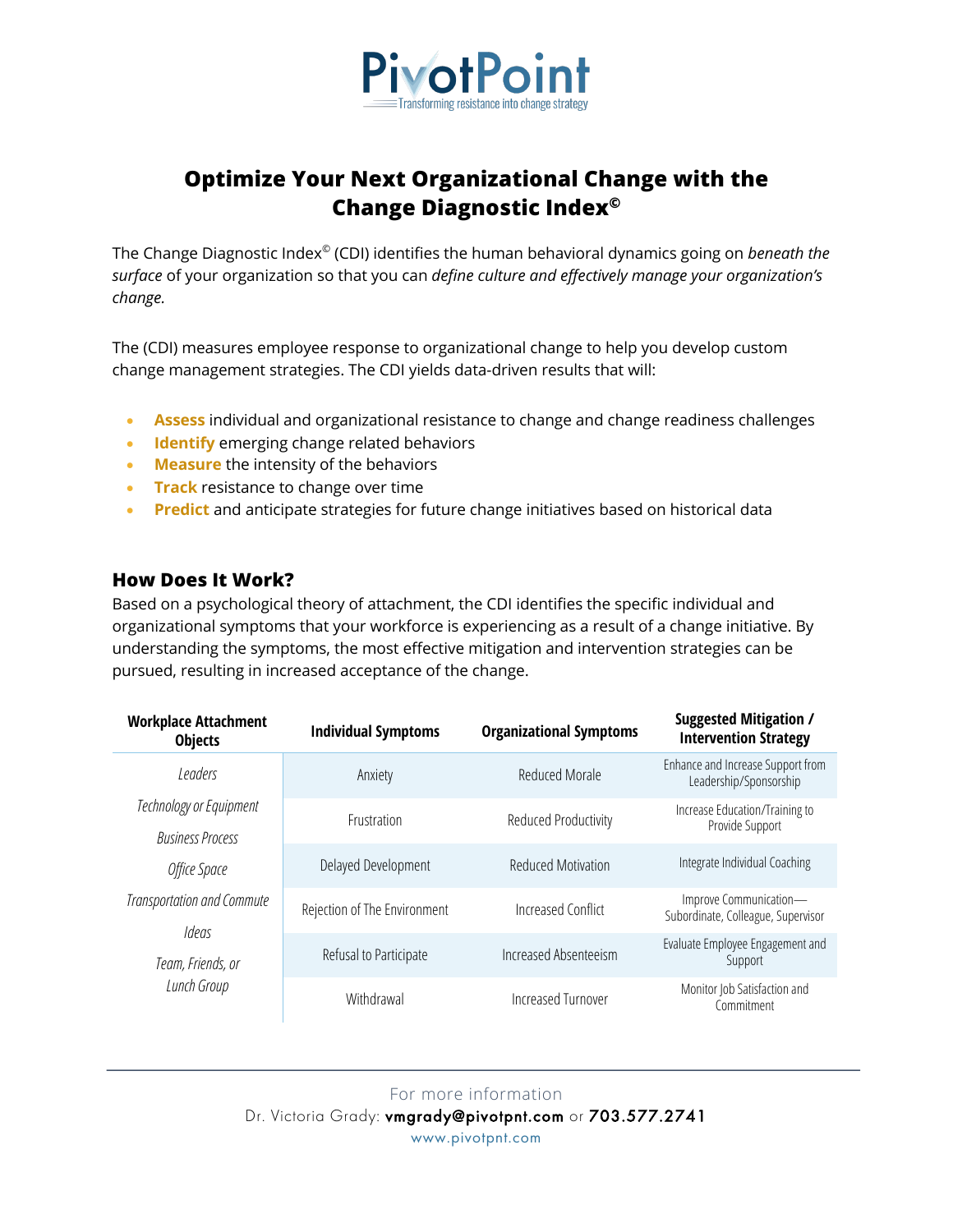

# **Optimize Your Next Organizational Change with the Change Diagnostic Index©**

The Change Diagnostic Index© (CDI) identifies the human behavioral dynamics going on *beneath the surface* of your organization so that you can *define culture and effectively manage your organization's change.*

The (CDI) measures employee response to organizational change to help you develop custom change management strategies. The CDI yields data-driven results that will:

- **Assess** individual and organizational resistance to change and change readiness challenges
- **Identify** emerging change related behaviors
- **Measure** the intensity of the behaviors
- **Track** resistance to change over time
- **Predict** and anticipate strategies for future change initiatives based on historical data

#### **How Does It Work?**

Based on a psychological theory of attachment, the CDI identifies the specific individual and organizational symptoms that your workforce is experiencing as a result of a change initiative. By understanding the symptoms, the most effective mitigation and intervention strategies can be pursued, resulting in increased acceptance of the change.

| <b>Workplace Attachment</b><br><b>Objects</b>      | <b>Individual Symptoms</b>   | <b>Organizational Symptoms</b> | <b>Suggested Mitigation /</b><br><b>Intervention Strategy</b> |
|----------------------------------------------------|------------------------------|--------------------------------|---------------------------------------------------------------|
| Leaders                                            | Anxiety                      | Reduced Morale                 | Enhance and Increase Support from<br>Leadership/Sponsorship   |
| Technology or Equipment<br><b>Business Process</b> | <b>Frustration</b>           | Reduced Productivity           | Increase Education/Training to<br>Provide Support             |
| Office Space                                       | Delayed Development          | <b>Reduced Motivation</b>      | Integrate Individual Coaching                                 |
| Transportation and Commute<br>Ideas                | Rejection of The Environment | Increased Conflict             | Improve Communication-<br>Subordinate, Colleague, Supervisor  |
| Team, Friends, or<br>Lunch Group                   | Refusal to Participate       | Increased Absenteeism          | Evaluate Employee Engagement and<br>Support                   |
|                                                    | Withdrawal                   | Increased Turnover             | Monitor Job Satisfaction and<br>Commitment                    |